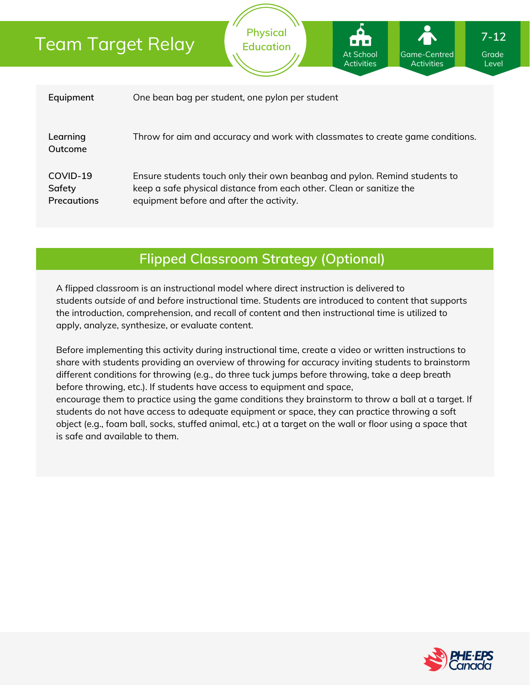# Team Target Relay

| Equipment                         | One bean bag per student, one pylon per student                                                                                                                                                |
|-----------------------------------|------------------------------------------------------------------------------------------------------------------------------------------------------------------------------------------------|
| Learning<br>Outcome               | Throw for aim and accuracy and work with classmates to create game conditions.                                                                                                                 |
| COVID-19<br>Safety<br>Precautions | Ensure students touch only their own beanbag and pylon. Remind students to<br>keep a safe physical distance from each other. Clean or sanitize the<br>equipment before and after the activity. |

**Physical Education**

## **Flipped Classroom Strategy (Optional)**

A flipped classroom is an instructional model where direct instruction is delivered to students *outside of* and *before* instructional time. Students are introduced to content that supports the introduction, comprehension, and recall of content and then instructional time is utilized to apply, analyze, synthesize, or evaluate content.

Before implementing this activity during instructional time, create a video or written instructions to share with students providing an overview of throwing for accuracy inviting students to brainstorm different conditions for throwing (e.g., do three tuck jumps before throwing, take a deep breath before throwing, etc.). If students have access to equipment and space, encourage them to practice using the game conditions they brainstorm to throw a ball at a target. If students do not have access to adequate equipment or space, they can practice throwing a soft object (e.g., foam ball, socks, stuffed animal, etc.) at a target on the wall or floor using a space that is safe and available to them.



Grade Level

Game-Centred Activities

**At School** Activities

**7-12**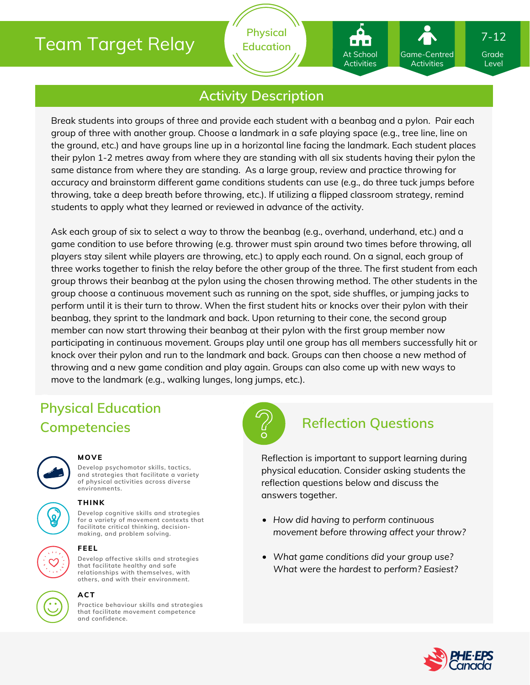# Team Target Relay

**Physical Education**

## **Activity Description**

Break students into groups of three and provide each student with a beanbag and a pylon. Pair each group of three with another group. Choose a landmark in a safe playing space (e.g., tree line, line on the ground, etc.) and have groups line up in a horizontal line facing the landmark. Each student places their pylon 1-2 metres away from where they are standing with all six students having their pylon the same distance from where they are standing. As a large group, review and practice throwing for accuracy and brainstorm different game conditions students can use (e.g., do three tuck jumps before throwing, take a deep breath before throwing, etc.). If utilizing a flipped classroom strategy, remind students to apply what they learned or reviewed in advance of the activity.

Ask each group of six to select a way to throw the beanbag (e.g., overhand, underhand, etc.) and a game condition to use before throwing (e.g. thrower must spin around two times before throwing, all players stay silent while players are throwing, etc.) to apply each round. On a signal, each group of three works together to finish the relay before the other group of the three. The first student from each group throws their beanbag at the pylon using the chosen throwing method. The other students in the group choose a continuous movement such as running on the spot, side shuffles, or jumping jacks to perform until it is their turn to throw. When the first student hits or knocks over their pylon with their beanbag, they sprint to the landmark and back. Upon returning to their cone, the second group member can now start throwing their beanbag at their pylon with the first group member now participating in continuous movement. Groups play until one group has all members successfully hit or knock over their pylon and run to the landmark and back. Groups can then choose a new method of throwing and a new game condition and play again. Groups can also come up with new ways to move to the landmark (e.g., walking lunges, long jumps, etc.).

# **Physical Education Competencies Reflection Questions**



### **MOVE**

**Develop psychomotor skills, tactics, and strategies that facilitate a variety of physical activities across diverse environments.**

## **THINK**

**Develop cognitive skills and strategies for a variety of movement contexts that facilitate critical thinking, decision making, and problem solving.**



### **FEEL**

**Develop affective skills and strategies that facilitate healthy and safe relationships with themselves, with others, and with their environment.**



### **ACT**

**Practice behaviour skills and strategies that facilitate movement competence and confidence.**



Reflection is important to support learning during physical education. Consider asking students the reflection questions below and discuss the answers together.

- *How did having to perform continuous movement before throwing affect your throw?*
- *What game conditions did your group use? What were the hardest to perform? Easiest?*



Grade Level

7-12

Game-Centred Activities

At School Activities